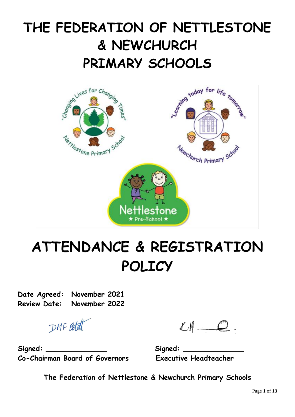## **THE FEDERATION OF NETTLESTONE & NEWCHURCH PRIMARY SCHOOLS**



# **ATTENDANCE & REGISTRATION POLICY**

**Date Agreed: November 2021 Review Date: November 2022**

DMF Botat

 $LM = Q$ .

**Signed: \_\_\_\_\_\_\_\_\_\_\_\_\_\_ Signed: \_\_\_\_\_\_\_\_\_\_\_\_\_\_ Co-Chairman Board of Governors Executive Headteacher**

**The Federation of Nettlestone & Newchurch Primary Schools**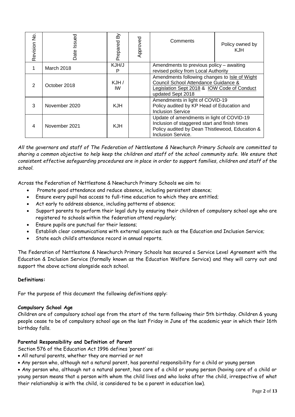| Revision No.                                                  | Date Issued                                                                                                                                                                                                                                                                                                                                                                                                                                                                                                                                                                                                                                                                                                                                                                                                | Prepared By | Approved | Comments                                                                                                                                                            | Policy owned by<br><b>KJH</b> |  |
|---------------------------------------------------------------|------------------------------------------------------------------------------------------------------------------------------------------------------------------------------------------------------------------------------------------------------------------------------------------------------------------------------------------------------------------------------------------------------------------------------------------------------------------------------------------------------------------------------------------------------------------------------------------------------------------------------------------------------------------------------------------------------------------------------------------------------------------------------------------------------------|-------------|----------|---------------------------------------------------------------------------------------------------------------------------------------------------------------------|-------------------------------|--|
| $\mathbf{1}$                                                  | March 2018                                                                                                                                                                                                                                                                                                                                                                                                                                                                                                                                                                                                                                                                                                                                                                                                 | KJH/J<br>P  |          | Amendments to previous policy - awaiting<br>revised policy from Local Authority                                                                                     |                               |  |
| $\overline{2}$                                                | October 2018                                                                                                                                                                                                                                                                                                                                                                                                                                                                                                                                                                                                                                                                                                                                                                                               | KJH/<br>IW  |          | Amendments following changes to Isle of Wight<br>Council School Attendance Guidance &<br>Legislation Sept 2018 & IOW Code of Conduct<br>updated Sept 2018           |                               |  |
| 3                                                             | November 2020                                                                                                                                                                                                                                                                                                                                                                                                                                                                                                                                                                                                                                                                                                                                                                                              | <b>KJH</b>  |          | Amendments in light of COVID-19<br>Policy audited by KP Head of Education and<br><b>Inclusion Service</b>                                                           |                               |  |
| 4                                                             | November 2021                                                                                                                                                                                                                                                                                                                                                                                                                                                                                                                                                                                                                                                                                                                                                                                              | <b>KJH</b>  |          | Update of amendments in light of COVID-19<br>Inclusion of staggered start and finish times<br>Policy audited by Dean Thistlewood, Education &<br>Inclusion Service. |                               |  |
| $\bullet$<br>$\bullet$<br>$\bullet$<br>$\bullet$<br>$\bullet$ | Across the Federation of Nettlestone & Newchurch Primary Schools we aim to:<br>Promote good attendance and reduce absence, including persistent absence;<br>Ensure every pupil has access to full-time education to which they are entitled;<br>Act early to address absence, including patterns of absence;<br>Support parents to perform their legal duty by ensuring their children of compulsory school age wl<br>registered to schools within the federation attend regularly;<br>Ensure pupils are punctual for their lessons;<br>Establish clear communications with external agencies such as the Education and Inclusion Service<br>State each child's attendance record in annual reports.<br>The Federation of Nettlestone & Newchurch Primary Schools has secured a Service Level Agreement wi |             |          |                                                                                                                                                                     |                               |  |
|                                                               | Education & Inclusion Service (formally known as the Education Welfare Service) and they will carry or<br>support the above actions alongside each school.                                                                                                                                                                                                                                                                                                                                                                                                                                                                                                                                                                                                                                                 |             |          |                                                                                                                                                                     |                               |  |
| Definitions:                                                  |                                                                                                                                                                                                                                                                                                                                                                                                                                                                                                                                                                                                                                                                                                                                                                                                            |             |          |                                                                                                                                                                     |                               |  |
|                                                               | For the purpose of this document the following definitions apply:                                                                                                                                                                                                                                                                                                                                                                                                                                                                                                                                                                                                                                                                                                                                          |             |          |                                                                                                                                                                     |                               |  |
| birthday falls.                                               | Compulsory School Age<br>& Children are of compulsory school age from the start of the term following their 5th birthday. Children<br>people cease to be of compulsory school age on the last Friday in June of the academic year in which thei                                                                                                                                                                                                                                                                                                                                                                                                                                                                                                                                                            |             |          |                                                                                                                                                                     |                               |  |
|                                                               | Parental Responsibility and Definition of Parent<br>Section 576 of the Education Act 1996 defines 'parent' as:<br>. All natural parents, whether they are married or not<br>• Any person who, although not a natural parent, has parental responsibility for a child or young person<br>$\bullet$ Any person who, although not a natural parent, has care of a child or young person (having care of a ch<br>young person means that a person with whom the child lives and who looks after the child, irrespective o†<br>their relationship is with the child, is considered to be a parent in education law).                                                                                                                                                                                            |             |          |                                                                                                                                                                     |                               |  |

*All the governors and staff of The Federation of Nettlestone & Newchurch Primary Schools are committed to sharing a common objective to help keep the children and staff of the school community safe. We ensure that consistent effective safeguarding procedures are in place in order to support families, children and staff of the school.*

- Promote good attendance and reduce absence, including persistent absence;
- Ensure every pupil has access to full-time education to which they are entitled;
- Act early to address absence, including patterns of absence;
- Support parents to perform their legal duty by ensuring their children of compulsory school age who are registered to schools within the federation attend regularly;
- Ensure pupils are punctual for their lessons;
- Establish clear communications with external agencies such as the Education and Inclusion Service;
- State each child's attendance record in annual reports.

The Federation of Nettlestone & Newchurch Primary Schools has secured a Service Level Agreement with the Education & Inclusion Service (formally known as the Education Welfare Service) and they will carry out and support the above actions alongside each school.

#### **Definitions:**

#### **Compulsory School Age**

Children are of compulsory school age from the start of the term following their 5th birthday. Children & young people cease to be of compulsory school age on the last Friday in June of the academic year in which their 16th birthday falls.

#### **Parental Responsibility and Definition of Parent**

- All natural parents, whether they are married or not
- Any person who, although not a natural parent, has parental responsibility for a child or young person

• Any person who, although not a natural parent, has care of a child or young person (having care of a child or young person means that a person with whom the child lives and who looks after the child, irrespective of what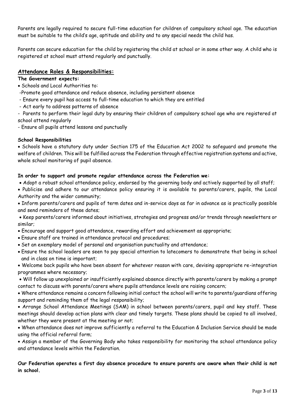Parents are legally required to secure full-time education for children of compulsory school age. The education must be suitable to the child's age, aptitude and ability and to any special needs the child has.

Parents can secure education for the child by registering the child at school or in some other way. A child who is registered at school must attend regularly and punctually.

### **Attendance Roles & Responsibilities:**

#### **The Government expects:**

- Schools and Local Authorities to:
- -Promote good attendance and reduce absence, including persistent absence
- Ensure every pupil has access to full-time education to which they are entitled
- Act early to address patterns of absence

- Parents to perform their legal duty by ensuring their children of compulsory school age who are registered at school attend regularly

- Ensure all pupils attend lessons and punctually

#### **School Responsibilities**

• Schools have a statutory duty under Section 175 of the Education Act 2002 to safeguard and promote the welfare of children. This will be fulfilled across the Federation through effective registration systems and active, whole school monitoring of pupil absence.

#### **In order to support and promote regular attendance across the Federation we:**

- Adopt a robust school attendance policy, endorsed by the governing body and actively supported by all staff;
- Publicise and adhere to our attendance policy ensuring it is available to parents/carers, pupils, the Local Authority and the wider community;
- Inform parents/carers and pupils of term dates and in-service days as far in advance as is practically possible and send reminders of these dates;
- Keep parents/carers informed about initiatives, strategies and progress and/or trends through newsletters or similar;
- Encourage and support good attendance, rewarding effort and achievement as appropriate;
- Ensure staff are trained in attendance protocol and procedures;
- Set an exemplary model of personal and organisation punctuality and attendance;
- Ensure the school leaders are seen to pay special attention to latecomers to demonstrate that being in school and in class on time is important;

• Welcome back pupils who have been absent for whatever reason with care, devising appropriate re-integration programmes where necessary;

• Will follow up unexplained or insufficiently explained absence directly with parents/carers by making a prompt contact to discuss with parents/carers where pupils attendance levels are raising concern;

• Where attendance remains a concern following initial contact the school will write to parents/guardians offering support and reminding them of the legal responsibility;

• Arrange School Attendance Meetings (SAM) in school between parents/carers, pupil and key staff. These meetings should develop action plans with clear and timely targets. These plans should be copied to all involved, whether they were present at the meeting or not;

• When attendance does not improve sufficiently a referral to the Education & Inclusion Service should be made using the official referral form;

• Assign a member of the Governing Body who takes responsibility for monitoring the school attendance policy and attendance levels within the Federation.

#### **Our Federation operates a first day absence procedure to ensure parents are aware when their child is not in school.**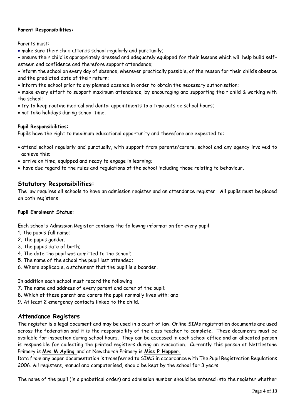#### **Parent Responsibilities:**

Parents must:

- make sure their child attends school regularly and punctually;
- ensure their child is appropriately dressed and adequately equipped for their lessons which will help build selfesteem and confidence and therefore support attendance;
- inform the school on every day of absence, wherever practically possible, of the reason for their child's absence and the predicted date of their return;
- inform the school prior to any planned absence in order to obtain the necessary authorisation;
- make every effort to support maximum attendance, by encouraging and supporting their child & working with the school;
- try to keep routine medical and dental appointments to a time outside school hours;
- not take holidays during school time.

#### **Pupil Responsibilities:**

Pupils have the right to maximum educational opportunity and therefore are expected to:

- attend school regularly and punctually, with support from parents/carers, school and any agency involved to achieve this;
- arrive on time, equipped and ready to engage in learning;
- have due regard to the rules and regulations of the school including those relating to behaviour.

## **Statutory Responsibilities:**

The law requires all schools to have an admission register and an attendance register. All pupils must be placed on both registers

#### **Pupil Enrolment Status:**

Each school's Admission Register contains the following information for every pupil:

- 1. The pupils full name;
- 2. The pupils gender;
- 3. The pupils date of birth;
- 4. The date the pupil was admitted to the school;
- 5. The name of the school the pupil last attended;
- 6. Where applicable, a statement that the pupil is a boarder.

In addition each school must record the following

- 7. The name and address of every parent and carer of the pupil;
- 8. Which of these parent and carers the pupil normally lives with; and
- 9. At least 2 emergency contacts linked to the child.

## **Attendance Registers**

The register is a legal document and may be used in a court of law. Online SIMs registration documents are used across the federation and it is the responsibility of the class teacher to complete. These documents must be available for inspection during school hours. They can be accessed in each school office and an allocated person is responsible for collecting the printed registers during an evacuation. Currently this person at Nettlestone Primary is **Mrs M Ayling** and at Newchurch Primary is **Miss P Hopper.** 

Data from any paper documentation is transferred to SIMS in accordance with The Pupil Registration Regulations 2006. All registers, manual and computerised, should be kept by the school for 3 years.

The name of the pupil (in alphabetical order) and admission number should be entered into the register whether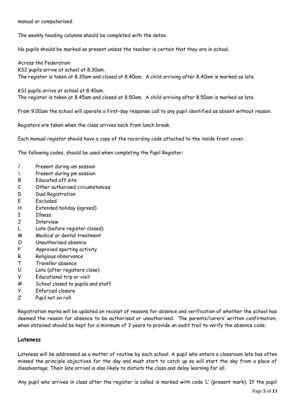manual or computerised.

The weekly heading columns should be completed with the dates.

No pupils should be marked as present unless the teacher is certain that they are in school.

Across the Federation: KS2 pupils arrive at school at 8.30am. The register is taken at 8.35am and closed at 8.40am. A child arriving after 8.40am is marked as late.

KS1 pupils arrive at school at 8.40am. The register is taken at 8.45am and closed at 8.50am. A child arriving after 8.50am is marked as late.

From 9.00am the school will operate a first-day response call to any pupil identified as absent without reason.

Registers are taken when the class arrives back from lunch break.

Each manual register should have a copy of the recording code attached to the inside front cover.

The following codes, should be used when completing the Pupil Register:

- / Present during am session
- \ Present during pm session
- B Educated off site
- C Other authorised circumstances
- D Dual Registration
- E Excluded
- H Extended holiday (agreed)
- I Illness
- J Interview
- L Late (before register closed)
- M Medical or dental treatment
- O Unauthorised absence
- P Approved sporting activity
- R Religious observance
- T Traveller absence
- U Late (after registers close)
- V Educational trip or visit
- # School closed to pupils and staff
- Y Enforced closure
- Z Pupil not on roll

Registration marks will be updated on receipt of reasons for absence and verification of whether the school has deemed the reason for absence to be authorised or unauthorised. The parents/carers' written confirmation, when obtained should be kept for a minimum of 3 years to provide an audit trail to verify the absence code.

#### **Lateness**

Lateness will be addressed as a matter of routine by each school. A pupil who enters a classroom late has often missed the principle objectives for the day and must start to catch up so will start the day from a place of disadvantage. Their late arrival is also likely to disturb the class and delay learning for all.

Any pupil who arrives in class after the register is called is marked with code 'L' (present mark). If the pupil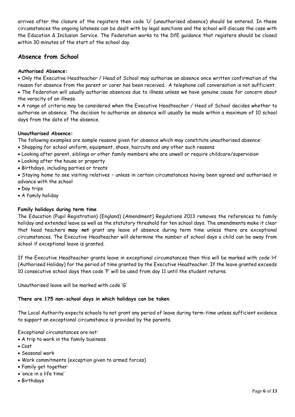arrives after the closure of the registers then code 'U' (unauthorised absence) should be entered. In these circumstances the ongoing lateness can be dealt with by legal sanctions and the school will discuss the case with the Education & Inclusion Service. The Federation works to the DfE guidance that registers should be closed within 30 minutes of the start of the school day.

## **Absence from School**

#### **Authorised Absence:**

• Only the Executive Headteacher / Head of School may authorise an absence once written confirmation of the reason for absence from the parent or carer has been received. A telephone call conversation is not sufficient.

• The Federation will usually authorise absences due to illness unless we have genuine cause for concern about the veracity of an illness.

• A range of criteria may be considered when the Executive Headteacher / Head of School decides whether to authorise an absence. The decision to authorise an absence will usually be made within a maximum of 10 school days from the date of the absence.

#### **Unauthorised Absence:**

The following examples are sample reasons given for absence which may constitute unauthorised absence:

- Shopping for school uniform, equipment, shoes, haircuts and any other such reasons
- Looking after parent, siblings or other family members who are unwell or require childcare/supervision
- Looking after the house or property
- Birthdays, including parties or treats
- Staying home to see visiting relatives unless in certain circumstances having been agreed and authorised in advance with the school
- Day trips
- A family holiday

#### **Family holidays during term time**

The Education (Pupil Registration) (England) (Amendment) Regulations 2013 removes the references to family holiday and extended leave as well as the statutory threshold for ten school days. The amendments make it clear that head teachers **may not** grant any leave of absence during term time unless there are exceptional circumstances. The Executive Headteacher will determine the number of school days a child can be away from school if exceptional leave is granted.

If the Executive Headteacher grants leave in exceptional circumstances then this will be marked with code 'H' (Authorised Holiday) for the period of time granted by the Executive Headteacher. If the leave granted exceeds 10 consecutive school days then code 'F' will be used from day 11 until the student returns.

Unauthorised leave will be marked with code 'G'

#### **There are 175 non-school days in which holidays can be taken**.

The Local Authority expects schools to not grant any period of leave during term-time unless sufficient evidence to support an exceptional circumstance is provided by the parents.

Exceptional circumstances are not:

- A trip to work in the family business
- Cost
- Seasonal work
- Work commitments (exception given to armed forces)
- Family get together
- 'once in a life time'
- Birthdays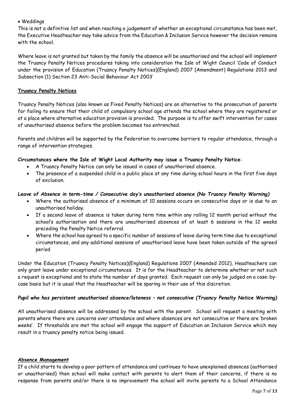#### • Weddings

This is not a definitive list and when reaching a judgement of whether an exceptional circumstance has been met, the Executive Headteacher may take advice from the Education & Inclusion Service however the decision remains with the school.

Where leave is not granted but taken by the family the absence will be unauthorised and the school will implement the Truancy Penalty Notices procedures taking into consideration the Isle of Wight Council 'Code of Conduct under the provision of Education (Truancy Penalty Notices)(England) 2007 (Amendment) Regulations 2013 and Subsection (1) Section 23 Anti-Social Behaviour Act 2003'

#### **Truancy Penalty Notices**

Truancy Penalty Notices (also known as Fixed Penalty Notices) are an alternative to the prosecution of parents for failing to ensure that their child of compulsory school age attends the school where they are registered or at a place where alternative education provision is provided. The purpose is to offer swift intervention for cases of unauthorised absence before the problem becomes too entrenched.

Parents and children will be supported by the Federation to overcome barriers to regular attendance, through a range of intervention strategies.

#### **Circumstances where the Isle of Wight Local Authority may issue a Truancy Penalty Notice**:

- A Truancy Penalty Notice can only be issued in cases of unauthorised absence.
- The presence of a suspended child in a public place at any time during school hours in the first five days of exclusion.

#### *Leave of Absence in term-time / Consecutive day's unauthorised absence (No Truancy Penalty Warning)*

- Where the authorised absence of a minimum of 10 sessions occurs on consecutive days or is due to an unauthorised holiday.
- If a second leave of absence is taken during term time within any rolling 12 month period without the school's authorisation and there are unauthorised absences of at least 6 sessions in the 12 weeks preceding the Penalty Notice referral.
- Where the school has agreed to a specific number of sessions of leave during term time due to exceptional circumstances, and any additional sessions of unauthorised leave have been taken outside of the agreed period

Under the Education (Truancy Penalty Notices)(England) Regulations 2007 (Amended 2012), Headteachers can only grant leave under exceptional circumstances. It is for the Headteacher to determine whether or not such a request is exceptional and to state the number of days granted. Each request can only be judged on a case-bycase basis but it is usual that the Headteacher will be sparing in their use of this discretion.

#### *Pupil who has persistent unauthorised absence/lateness – not consecutive (Truancy Penalty Notice Warning)*

All unauthorised absence will be addressed by the school with the parent. School will request a meeting with parents where there are concerns over attendance and where absences are not consecutive or there are 'broken weeks'. If thresholds are met the school will engage the support of Education an Inclusion Service which may result in a truancy penalty notice being issued.

#### **Absence Management**

If a child starts to develop a poor pattern of attendance and continues to have unexplained absences (authorised or unauthorised) then school will make contact with parents to alert them of their concerns, if there is no response from parents and/or there is no improvement the school will invite parents to a School Attendance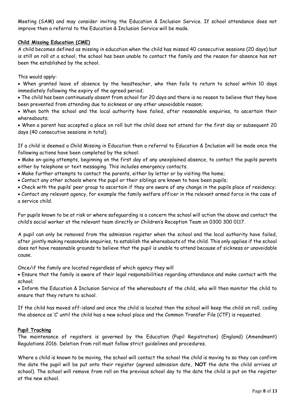Meeting (SAM) and may consider inviting the Education & Inclusion Service. If school attendance does not improve then a referral to the Education & Inclusion Service will be made.

#### **Child Missing Education (CME)**

A child becomes defined as missing in education when the child has missed 40 consecutive sessions (20 days) but is still on roll at a school, the school has been unable to contact the family and the reason for absence has not been the established by the school.

This would apply:

• When granted leave of absence by the headteacher, who then fails to return to school within 10 days immediately following the expiry of the agreed period;

• The child has been continuously absent from school for 20 days and there is no reason to believe that they have been prevented from attending due to sickness or any other unavoidable reason;

• When both the school and the local authority have failed, after reasonable enquiries, to ascertain their whereabouts;

• When a parent has accepted a place on roll but the child does not attend for the first day or subsequent 20 days (40 consecutive sessions in total).

If a child is deemed a Child Missing in Education then a referral to Education & Inclusion will be made once the following actions have been completed by the school:

• Make on-going attempts, beginning on the first day of any unexplained absence, to contact the pupils parents either by telephone or text messaging. This includes emergency contacts.

- Make further attempts to contact the parents, either by letter or by visiting the home;
- Contact any other schools where the pupil or their siblings are known to have been pupils;
- Check with the pupils' peer group to ascertain if they are aware of any change in the pupils place of residency;

• Contact any relevant agency, for example the family welfare officer in the relevant armed force in the case of a service child.

For pupils known to be at risk or where safeguarding is a concern the school will action the above and contact the child's social worker at the relevant team directly or Children's Reception Team on 0300 300 0117.

A pupil can only be removed from the admission register when the school and the local authority have failed, after jointly making reasonable enquiries, to establish the whereabouts of the child. This only applies if the school does not have reasonable grounds to believe that the pupil is unable to attend because of sickness or unavoidable cause.

Once/if the family are located regardless of which agency they will

• Ensure that the family is aware of their legal responsibilities regarding attendance and make contact with the school;

• Inform the Education & Inclusion Service of the whereabouts of the child, who will then monitor the child to ensure that they return to school.

If the child has moved off-island and once the child is located then the school will keep the child on roll, coding the absence as 'C' until the child has a new school place and the Common Transfer File (CTF) is requested.

#### **Pupil Tracking**

The maintenance of registers is governed by the Education (Pupil Registration) (England) (Amendment) Regulations 2016. Deletion from roll must follow strict guidelines and procedures.

Where a child is known to be moving, the school will contact the school the child is moving to so they can confirm the date the pupil will be put onto their register (agreed admission date, **NOT** the date the child arrives at school). The school will remove from roll on the previous school day to the date the child is put on the register at the new school.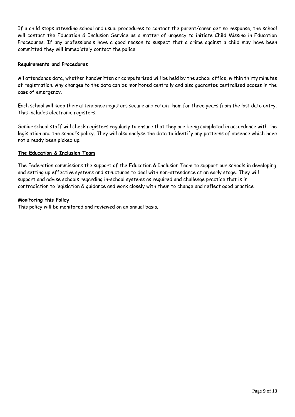If a child stops attending school and usual procedures to contact the parent/carer get no response, the school will contact the Education & Inclusion Service as a matter of urgency to initiate Child Missing in Education Procedures. If any professionals have a good reason to suspect that a crime against a child may have been committed they will immediately contact the police.

#### **Requirements and Procedures**

All attendance data, whether handwritten or computerised will be held by the school office, within thirty minutes of registration. Any changes to the data can be monitored centrally and also guarantee centralised access in the case of emergency.

Each school will keep their attendance registers secure and retain them for three years from the last date entry. This includes electronic registers.

Senior school staff will check registers regularly to ensure that they are being completed in accordance with the legislation and the school's policy. They will also analyse the data to identify any patterns of absence which have not already been picked up.

#### **The Education & Inclusion Team**

The Federation commissions the support of the Education & Inclusion Team to support our schools in developing and setting up effective systems and structures to deal with non-attendance at an early stage. They will support and advise schools regarding in-school systems as required and challenge practice that is in contradiction to legislation & guidance and work closely with them to change and reflect good practice.

#### **Monitoring this Policy**

This policy will be monitored and reviewed on an annual basis.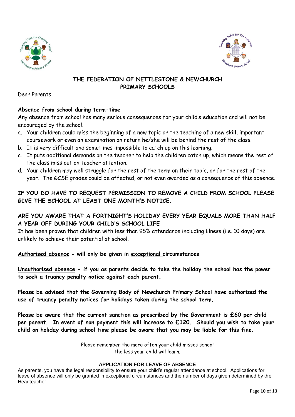



## **THE FEDERATION OF NETTLESTONE & NEWCHURCH PRIMARY SCHOOLS**

Dear Parents

## **Absence from school during term-time**

Any absence from school has many serious consequences for your child's education and will not be encouraged by the school.

- a. Your children could miss the beginning of a new topic or the teaching of a new skill, important coursework or even an examination on return he/she will be behind the rest of the class.
- b. It is very difficult and sometimes impossible to catch up on this learning.
- c. It puts additional demands on the teacher to help the children catch up, which means the rest of the class miss out on teacher attention.
- d. Your children may well struggle for the rest of the term on their topic, or for the rest of the year. The GCSE grades could be affected, or not even awarded as a consequence of this absence.

## **IF YOU DO HAVE TO REQUEST PERMISSION TO REMOVE A CHILD FROM SCHOOL PLEASE GIVE THE SCHOOL AT LEAST ONE MONTH'S NOTICE.**

## **ARE YOU AWARE THAT A FORTNIGHT'S HOLIDAY EVERY YEAR EQUALS MORE THAN HALF A YEAR OFF DURING YOUR CHILD'S SCHOOL LIFE**

It has been proven that children with less than 95% attendance including illness (i.e. 10 days) are unlikely to achieve their potential at school.

### **Authorised absence - will only be given in exceptional circumstances**

**Unauthorised absence - if you as parents decide to take the holiday the school has the power to seek a truancy penalty notice against each parent.**

**Please be advised that the Governing Body of Newchurch Primary School have authorised the use of truancy penalty notices for holidays taken during the school term.**

**Please be aware that the current sanction as prescribed by the Government is £60 per child per parent. In event of non payment this will increase to £120. Should you wish to take your child on holiday during school time please be aware that you may be liable for this fine.**

> Please remember the more often your child misses school the less your child will learn.

#### **APPLICATION FOR LEAVE OF ABSENCE**

As parents, you have the legal responsibility to ensure your child's regular attendance at school. Applications for leave of absence will only be granted in exceptional circumstances and the number of days given determined by the Headteacher.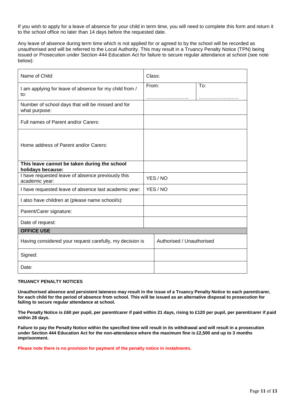If you wish to apply for a leave of absence for your child in term time, you will need to complete this form and return it to the school office no later than 14 days before the requested date.

Any leave of absence during term time which is not applied for or agreed to by the school will be recorded as unauthorised and will be referred to the Local Authority. This may result in a Truancy Penalty Notice (TPN) being issued or Prosecution under Section 444 Education Act for failure to secure regular attendance at school (see note below):

| Name of Child:                                                      |  | Class:                    |     |  |
|---------------------------------------------------------------------|--|---------------------------|-----|--|
| I am applying for leave of absence for my child from /<br>to:       |  | From:                     | To: |  |
| Number of school days that will be missed and for<br>what purpose:  |  |                           |     |  |
| Full names of Parent and/or Carers:                                 |  |                           |     |  |
| Home address of Parent and/or Carers:                               |  |                           |     |  |
| This leave cannot be taken during the school<br>holidays because:   |  |                           |     |  |
| I have requested leave of absence previously this<br>academic year: |  | YES/NO                    |     |  |
| I have requested leave of absence last academic year:               |  | YES/NO                    |     |  |
| I also have children at (please name school/s):                     |  |                           |     |  |
| Parent/Carer signature:                                             |  |                           |     |  |
| Date of request:                                                    |  |                           |     |  |
| <b>OFFICE USE</b>                                                   |  |                           |     |  |
| Having considered your request carefully, my decision is            |  | Authorised / Unauthorised |     |  |
| Signed:                                                             |  |                           |     |  |
| Date:                                                               |  |                           |     |  |

#### **TRUANCY PENALTY NOTICES**

**Unauthorised absence and persistent lateness may result in the issue of a Truancy Penalty Notice to each parent/carer, for each child for the period of absence from school. This will be issued as an alternative disposal to prosecution for failing to secure regular attendance at school.**

**The Penalty Notice is £60 per pupil, per parent/carer if paid within 21 days, rising to £120 per pupil, per parent/carer if paid within 28 days.**

**Failure to pay the Penalty Notice within the specified time will result in its withdrawal and will result in a prosecution under Section 444 Education Act for the non-attendance where the maximum fine is £2,500 and up to 3 months imprisonment.**

**Please note there is no provision for payment of the penalty notice in instalments.**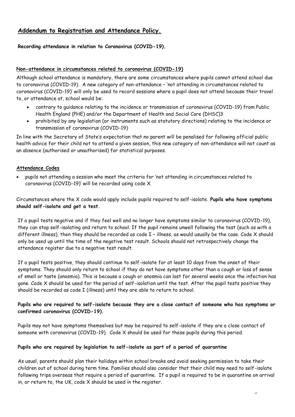## **Addendum to Registration and Attendance Policy.**

#### **Recording attendance in relation to Coronavirus (COVID-19).**

#### **Non-attendance in circumstances related to coronavirus (COVID-19)**

Although school attendance is mandatory, there are some circumstances where pupils cannot attend school due to coronavirus (COVID-19). A new category of non-attendance – 'not attending in circumstances related to coronavirus (COVID-19)' will only be used to record sessions where a pupil does not attend because their travel to, or attendance at, school would be:

- contrary to guidance relating to the incidence or transmission of coronavirus (COVID-19) from Public Health England (PHE) and/or the Department of Health and Social Care (DHSC)3
- prohibited by any legislation (or instruments such as statutory directions) relating to the incidence or transmission of coronavirus (COVID-19)

In line with the Secretary of State's expectation that no parent will be penalised for following official public health advice for their child not to attend a given session, this new category of non-attendance will not count as an absence (authorised or unauthorised) for statistical purposes.

#### **Attendance Codes**

• pupils not attending a session who meet the criteria for 'not attending in circumstances related to coronavirus (COVID-19)' will be recorded using code X

Circumstances where the X code would apply include pupils required to self-isolate. **Pupils who have symptoms should self-isolate and get a test.**

If a pupil tests negative and if they feel well and no longer have symptoms similar to coronavirus (COVID-19), they can stop self-isolating and return to school. If the pupil remains unwell following the test (such as with a different illness), then they should be recorded as code I – illness, as would usually be the case. Code X should only be used up until the time of the negative test result. Schools should not retrospectively change the attendance register due to a negative test result.

If a pupil tests positive, they should continue to self-isolate for at least 10 days from the onset of their symptoms. They should only return to school if they do not have symptoms other than a cough or loss of sense of smell or taste (anosmia). This is because a cough or anosmia can last for several weeks once the infection has gone. Code X should be used for the period of self-isolation until the test. After the pupil tests positive they should be recorded as code I (illness) until they are able to return to school.

#### **Pupils who are required to self-isolate because they are a close contact of someone who has symptoms or confirmed coronavirus (COVID-19).**

Pupils may not have symptoms themselves but may be required to self-isolate if they are a close contact of someone with coronavirus (COVID-19). Code X should be used for these pupils during this period.

#### **Pupils who are required by legislation to self-isolate as part of a period of quarantine**

As usual, parents should plan their holidays within school breaks and avoid seeking permission to take their children out of school during term time. Families should also consider that their child may need to self-isolate following trips overseas that require a period of quarantine. If a pupil is required to be in quarantine on arrival in, or return to, the UK, code X should be used in the register.